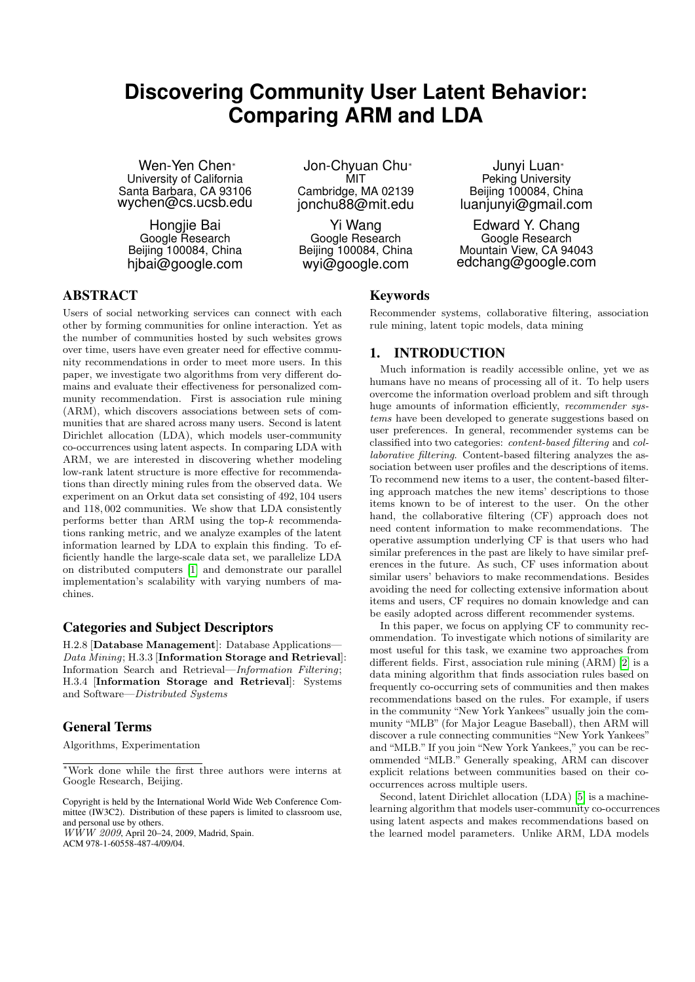# **Discovering Community User Latent Behavior: Comparing ARM and LDA**

Wen-Yen Chen<sup>∗</sup> University of California Santa Barbara, CA 93106 wychen@cs.ucsb.edu

Hongjie Bai Google Research Beijing 100084, China hjbai@google.com

Jon-Chyuan Chu<sup>∗</sup> **MIT** Cambridge, MA 02139 jonchu88@mit.edu

Yi Wang Google Research Beijing 100084, China wyi@google.com

Junyi Luan<sup>∗</sup> Peking University Beijing 100084, China luanjunyi@gmail.com

Edward Y. Chang Google Research Mountain View, CA 94043 edchang@google.com

# ABSTRACT

Users of social networking services can connect with each other by forming communities for online interaction. Yet as the number of communities hosted by such websites grows over time, users have even greater need for effective community recommendations in order to meet more users. In this paper, we investigate two algorithms from very different domains and evaluate their effectiveness for personalized community recommendation. First is association rule mining (ARM), which discovers associations between sets of communities that are shared across many users. Second is latent Dirichlet allocation (LDA), which models user-community co-occurrences using latent aspects. In comparing LDA with ARM, we are interested in discovering whether modeling low-rank latent structure is more effective for recommendations than directly mining rules from the observed data. We experiment on an Orkut data set consisting of 492, 104 users and 118, 002 communities. We show that LDA consistently performs better than ARM using the top- $k$  recommendations ranking metric, and we analyze examples of the latent information learned by LDA to explain this finding. To efficiently handle the large-scale data set, we parallelize LDA on distributed computers [\[1\]](#page-9-0) and demonstrate our parallel implementation's scalability with varying numbers of machines.

# Categories and Subject Descriptors

H.2.8 [Database Management]: Database Applications— Data Mining; H.3.3 [Information Storage and Retrieval]: Information Search and Retrieval—Information Filtering; H.3.4 [Information Storage and Retrieval]: Systems and Software—Distributed Systems

# General Terms

Algorithms, Experimentation

WWW 2009, April 20–24, 2009, Madrid, Spain.

ACM 978-1-60558-487-4/09/04.

Keywords

Recommender systems, collaborative filtering, association rule mining, latent topic models, data mining

# 1. INTRODUCTION

Much information is readily accessible online, yet we as humans have no means of processing all of it. To help users overcome the information overload problem and sift through huge amounts of information efficiently, recommender systems have been developed to generate suggestions based on user preferences. In general, recommender systems can be classified into two categories: content-based filtering and collaborative filtering. Content-based filtering analyzes the association between user profiles and the descriptions of items. To recommend new items to a user, the content-based filtering approach matches the new items' descriptions to those items known to be of interest to the user. On the other hand, the collaborative filtering (CF) approach does not need content information to make recommendations. The operative assumption underlying CF is that users who had similar preferences in the past are likely to have similar preferences in the future. As such, CF uses information about similar users' behaviors to make recommendations. Besides avoiding the need for collecting extensive information about items and users, CF requires no domain knowledge and can be easily adopted across different recommender systems.

In this paper, we focus on applying CF to community recommendation. To investigate which notions of similarity are most useful for this task, we examine two approaches from different fields. First, association rule mining (ARM) [\[2\]](#page-9-1) is a data mining algorithm that finds association rules based on frequently co-occurring sets of communities and then makes recommendations based on the rules. For example, if users in the community "New York Yankees" usually join the community "MLB" (for Major League Baseball), then ARM will discover a rule connecting communities "New York Yankees" and "MLB." If you join "New York Yankees," you can be recommended "MLB." Generally speaking, ARM can discover explicit relations between communities based on their cooccurrences across multiple users.

Second, latent Dirichlet allocation (LDA) [\[5\]](#page-9-2) is a machinelearning algorithm that models user-community co-occurrences using latent aspects and makes recommendations based on the learned model parameters. Unlike ARM, LDA models

<sup>∗</sup>Work done while the first three authors were interns at Google Research, Beijing.

Copyright is held by the International World Wide Web Conference Committee (IW3C2). Distribution of these papers is limited to classroom use, and personal use by others.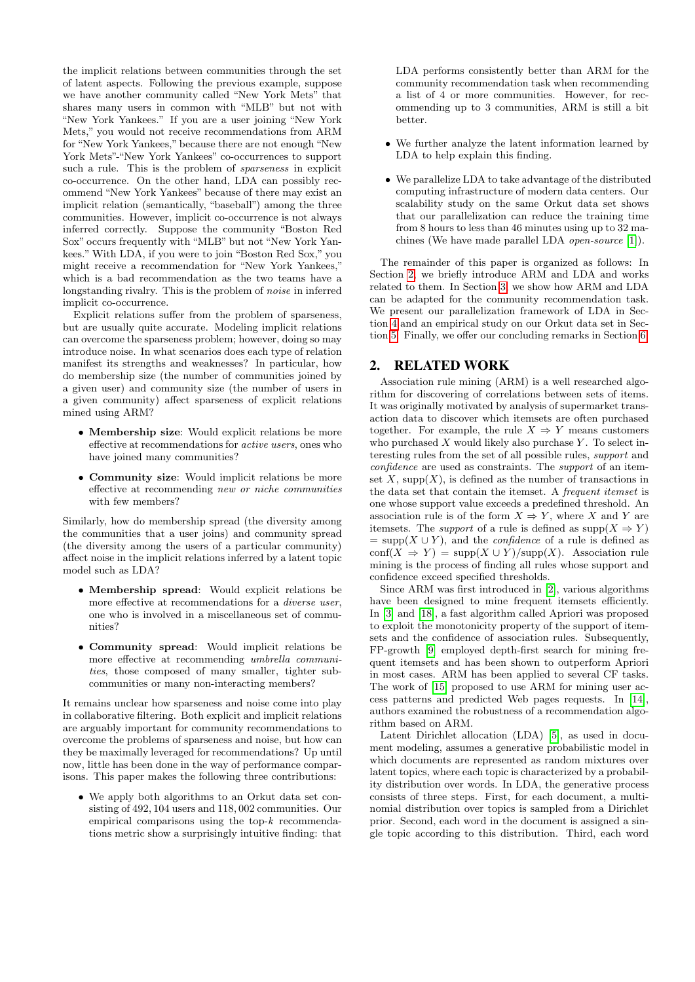the implicit relations between communities through the set of latent aspects. Following the previous example, suppose we have another community called "New York Mets" that shares many users in common with "MLB" but not with "New York Yankees." If you are a user joining "New York Mets," you would not receive recommendations from ARM for "New York Yankees," because there are not enough "New York Mets"-"New York Yankees" co-occurrences to support such a rule. This is the problem of sparseness in explicit co-occurrence. On the other hand, LDA can possibly recommend "New York Yankees" because of there may exist an implicit relation (semantically, "baseball") among the three communities. However, implicit co-occurrence is not always inferred correctly. Suppose the community "Boston Red Sox" occurs frequently with "MLB" but not "New York Yankees." With LDA, if you were to join "Boston Red Sox," you might receive a recommendation for "New York Yankees," which is a bad recommendation as the two teams have a longstanding rivalry. This is the problem of *noise* in inferred implicit co-occurrence.

Explicit relations suffer from the problem of sparseness, but are usually quite accurate. Modeling implicit relations can overcome the sparseness problem; however, doing so may introduce noise. In what scenarios does each type of relation manifest its strengths and weaknesses? In particular, how do membership size (the number of communities joined by a given user) and community size (the number of users in a given community) affect sparseness of explicit relations mined using ARM?

- Membership size: Would explicit relations be more effective at recommendations for active users, ones who have joined many communities?
- Community size: Would implicit relations be more effective at recommending new or niche communities with few members?

Similarly, how do membership spread (the diversity among the communities that a user joins) and community spread (the diversity among the users of a particular community) affect noise in the implicit relations inferred by a latent topic model such as LDA?

- Membership spread: Would explicit relations be more effective at recommendations for a diverse user, one who is involved in a miscellaneous set of communities?
- Community spread: Would implicit relations be more effective at recommending umbrella communities, those composed of many smaller, tighter subcommunities or many non-interacting members?

It remains unclear how sparseness and noise come into play in collaborative filtering. Both explicit and implicit relations are arguably important for community recommendations to overcome the problems of sparseness and noise, but how can they be maximally leveraged for recommendations? Up until now, little has been done in the way of performance comparisons. This paper makes the following three contributions:

• We apply both algorithms to an Orkut data set consisting of 492, 104 users and 118, 002 communities. Our empirical comparisons using the top- $k$  recommendations metric show a surprisingly intuitive finding: that LDA performs consistently better than ARM for the community recommendation task when recommending a list of 4 or more communities. However, for recommending up to 3 communities, ARM is still a bit better.

- We further analyze the latent information learned by LDA to help explain this finding.
- We parallelize LDA to take advantage of the distributed computing infrastructure of modern data centers. Our scalability study on the same Orkut data set shows that our parallelization can reduce the training time from 8 hours to less than 46 minutes using up to 32 machines (We have made parallel LDA open-source [\[1\]](#page-9-0)).

The remainder of this paper is organized as follows: In Section [2,](#page-1-0) we briefly introduce ARM and LDA and works related to them. In Section [3,](#page-2-0) we show how ARM and LDA can be adapted for the community recommendation task. We present our parallelization framework of LDA in Section [4](#page-3-0) and an empirical study on our Orkut data set in Section [5.](#page-3-1) Finally, we offer our concluding remarks in Section [6.](#page-9-3)

# <span id="page-1-0"></span>2. RELATED WORK

Association rule mining (ARM) is a well researched algorithm for discovering of correlations between sets of items. It was originally motivated by analysis of supermarket transaction data to discover which itemsets are often purchased together. For example, the rule  $X \Rightarrow Y$  means customers who purchased  $X$  would likely also purchase  $Y$ . To select interesting rules from the set of all possible rules, support and confidence are used as constraints. The support of an itemset  $X$ , supp $(X)$ , is defined as the number of transactions in the data set that contain the itemset. A frequent itemset is one whose support value exceeds a predefined threshold. An association rule is of the form  $X \Rightarrow Y$ , where X and Y are itemsets. The *support* of a rule is defined as  $\text{supp}(X \Rightarrow Y)$  $=$  supp(X ∪ Y), and the *confidence* of a rule is defined as  $conf(X \Rightarrow Y) = supp(X \cup Y)/supp(X)$ . Association rule mining is the process of finding all rules whose support and confidence exceed specified thresholds.

Since ARM was first introduced in [\[2\]](#page-9-1), various algorithms have been designed to mine frequent itemsets efficiently. In [\[3\]](#page-9-4) and [\[18\]](#page-9-5), a fast algorithm called Apriori was proposed to exploit the monotonicity property of the support of itemsets and the confidence of association rules. Subsequently, FP-growth [\[9\]](#page-9-6) employed depth-first search for mining frequent itemsets and has been shown to outperform Apriori in most cases. ARM has been applied to several CF tasks. The work of [\[15\]](#page-9-7) proposed to use ARM for mining user access patterns and predicted Web pages requests. In [\[14\]](#page-9-8), authors examined the robustness of a recommendation algorithm based on ARM.

Latent Dirichlet allocation (LDA) [\[5\]](#page-9-2), as used in document modeling, assumes a generative probabilistic model in which documents are represented as random mixtures over latent topics, where each topic is characterized by a probability distribution over words. In LDA, the generative process consists of three steps. First, for each document, a multinomial distribution over topics is sampled from a Dirichlet prior. Second, each word in the document is assigned a single topic according to this distribution. Third, each word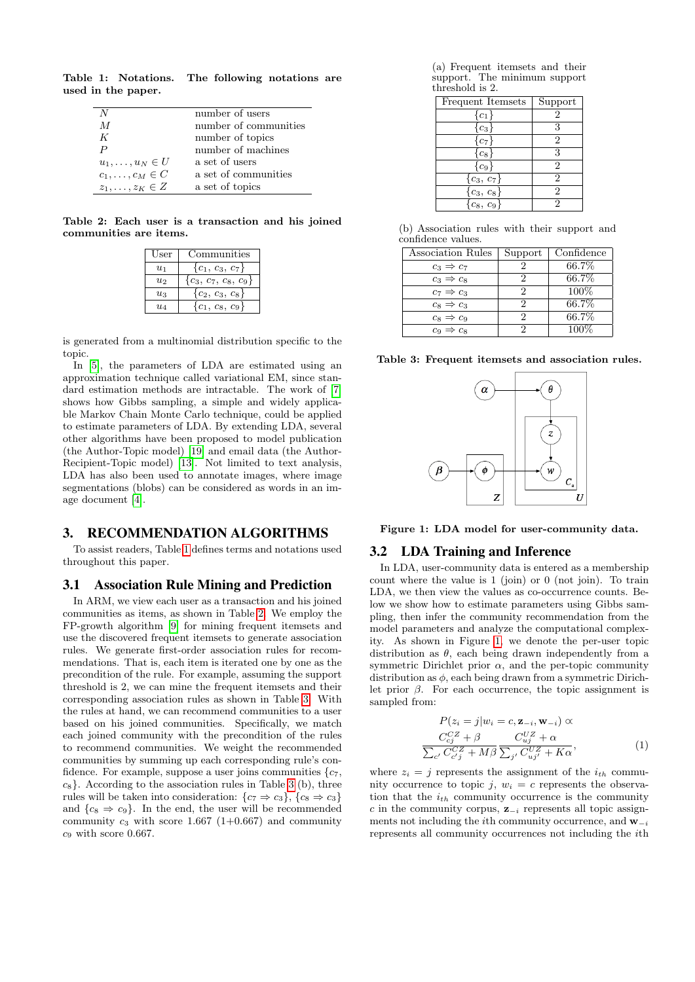<span id="page-2-1"></span>Table 1: Notations. The following notations are used in the paper.

| N                     | number of users       |
|-----------------------|-----------------------|
| $\overline{M}$        | number of communities |
| K                     | number of topics      |
| $\boldsymbol{P}$      | number of machines    |
| $u_1,\ldots,u_N\in U$ | a set of users        |
| $c_1,\ldots,c_M\in C$ | a set of communities  |
| $z_1,\ldots,z_K\in Z$ | a set of topics       |

<span id="page-2-2"></span>Table 2: Each user is a transaction and his joined communities are items.

| User  | Communities          |
|-------|----------------------|
| $u_1$ | $\{c_1, c_3, c_7\}$  |
| $u_2$ | $c_3, c_7, c_8, c_9$ |
| $u_3$ | $\{c_2, c_3, c_8\}$  |
| $u_4$ | ${c_1, c_8, c_9}$    |

is generated from a multinomial distribution specific to the topic.

In [\[5\]](#page-9-2), the parameters of LDA are estimated using an approximation technique called variational EM, since stan-dard estimation methods are intractable. The work of [\[7\]](#page-9-9) shows how Gibbs sampling, a simple and widely applicable Markov Chain Monte Carlo technique, could be applied to estimate parameters of LDA. By extending LDA, several other algorithms have been proposed to model publication (the Author-Topic model) [\[19\]](#page-9-10) and email data (the Author-Recipient-Topic model) [\[13\]](#page-9-11). Not limited to text analysis, LDA has also been used to annotate images, where image segmentations (blobs) can be considered as words in an image document [\[4\]](#page-9-12).

#### <span id="page-2-0"></span>3. RECOMMENDATION ALGORITHMS

To assist readers, Table [1](#page-2-1) defines terms and notations used throughout this paper.

#### 3.1 Association Rule Mining and Prediction

In ARM, we view each user as a transaction and his joined communities as items, as shown in Table [2.](#page-2-2) We employ the FP-growth algorithm [\[9\]](#page-9-6) for mining frequent itemsets and use the discovered frequent itemsets to generate association rules. We generate first-order association rules for recommendations. That is, each item is iterated one by one as the precondition of the rule. For example, assuming the support threshold is 2, we can mine the frequent itemsets and their corresponding association rules as shown in Table [3.](#page-2-3) With the rules at hand, we can recommend communities to a user based on his joined communities. Specifically, we match each joined community with the precondition of the rules to recommend communities. We weight the recommended communities by summing up each corresponding rule's confidence. For example, suppose a user joins communities  $\{c_7, c_8, c_9, c_9, c_9, c_9, c_{10}, c_{11}, c_{12}, c_{13}, c_{14}, c_{15}, c_{16}, c_{17}, c_{18}, c_{19}, c_{10}, c_{11}, c_{12}, c_{13}, c_{14}, c_{15}, c_{16}, c_{17}, c_{18}, c_{19}, c_{10}, c_{11}, c_{12}, c_{13}, c_{14}, c_{15}, c_{16}, c_{17$  $c_8$ . According to the association rules in Table [3](#page-2-3) (b), three rules will be taken into consideration:  ${c_7 \Rightarrow c_3}, {c_8 \Rightarrow c_3}$ and  $\{c_8 \Rightarrow c_9\}$ . In the end, the user will be recommended community  $c_3$  with score 1.667 (1+0.667) and community  $c_9$  with score 0.667.

(a) Frequent itemsets and their support. The minimum support threshold is 2.

| Frequent Itemsets | Support        |
|-------------------|----------------|
| $c_1$             |                |
| $c_3$             | 3              |
| $c_7$             | 2              |
| $c_8$             | 3              |
| $c_9$             | $\mathfrak{D}$ |
| $\{c_3,\,c_7\}$   | 2              |
| $\{c_3,\,c_8\}$   | 2              |
| $c_8, c_9$        |                |

(b) Association rules with their support and confidence values.

<span id="page-2-3"></span>

| Association Rules     | Support | Confidence |
|-----------------------|---------|------------|
| $c_3 \Rightarrow c_7$ |         | 66.7%      |
| $c_3 \Rightarrow c_8$ |         | 66.7%      |
| $c_7 \Rightarrow c_3$ | 2       | 100\%      |
| $c_8 \Rightarrow c_3$ | 2       | 66.7%      |
| $cs \Rightarrow cg$   |         | 66.7%      |
| $c_9 \Rightarrow c_8$ |         | 100%       |

| Table 3: Frequent itemsets and association rules. |
|---------------------------------------------------|
|---------------------------------------------------|



<span id="page-2-4"></span>Figure 1: LDA model for user-community data.

#### 3.2 LDA Training and Inference

In LDA, user-community data is entered as a membership count where the value is 1 (join) or 0 (not join). To train LDA, we then view the values as co-occurrence counts. Below we show how to estimate parameters using Gibbs sampling, then infer the community recommendation from the model parameters and analyze the computational complexity. As shown in Figure [1,](#page-2-4) we denote the per-user topic distribution as  $\theta$ , each being drawn independently from a symmetric Dirichlet prior  $\alpha$ , and the per-topic community distribution as  $\phi$ , each being drawn from a symmetric Dirichlet prior  $\beta$ . For each occurrence, the topic assignment is sampled from:

<span id="page-2-5"></span>
$$
P(z_i = j | w_i = c, \mathbf{z}_{-i}, \mathbf{w}_{-i}) \propto
$$

$$
\frac{C_{cj}^{CZ} + \beta}{\sum_{c'} C_{cj}^{CZ} + M\beta} \frac{C_{uj}^{UZ} + \alpha}{\sum_{j'} C_{uj'}^{UZ} + K\alpha},
$$
(1)

where  $z_i = j$  represents the assignment of the  $i_{th}$  community occurrence to topic j,  $w_i = c$  represents the observation that the  $i_{th}$  community occurrence is the community c in the community corpus,  $z_{-i}$  represents all topic assignments not including the *i*th community occurrence, and  $w_{-i}$ represents all community occurrences not including the ith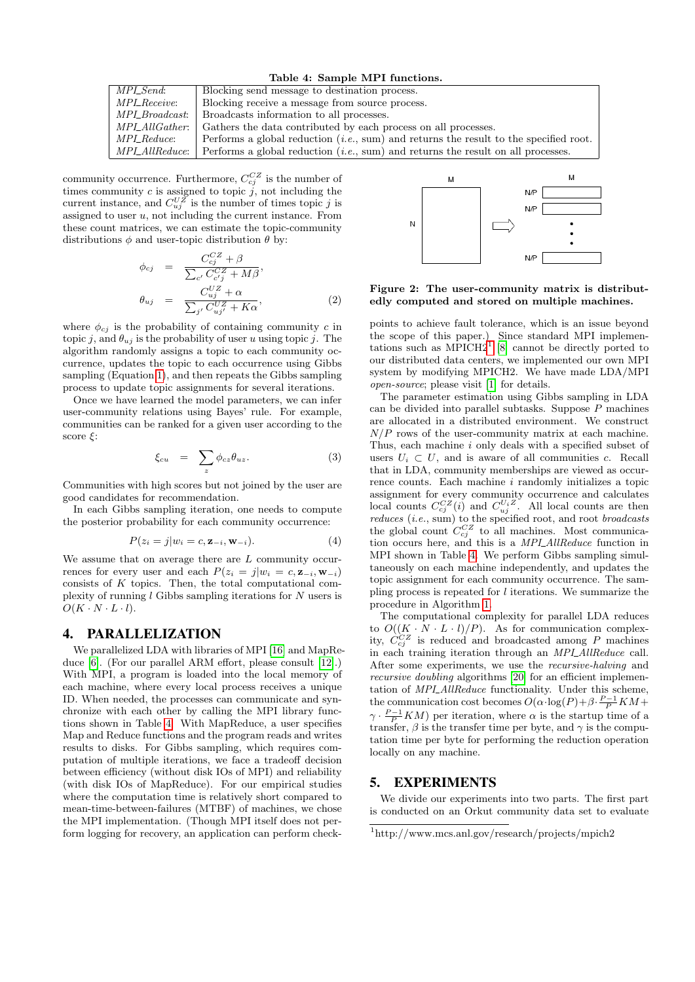Table 4: Sample MPI functions.

<span id="page-3-2"></span>

| $MPI\_Send:$         | Blocking send message to destination process.                                           |
|----------------------|-----------------------------------------------------------------------------------------|
| <i>MPLReceive:</i>   | Blocking receive a message from source process.                                         |
| <i>MPLBroadcast:</i> | Broadcasts information to all processes.                                                |
| <i>MPLAllGather:</i> | Gathers the data contributed by each process on all processes.                          |
| $MPI\_Reduce:$       | Performs a global reduction $(i.e., sum)$ and returns the result to the specified root. |
| <i>MPLAUReduce:</i>  | Performs a global reduction $(i.e., sum)$ and returns the result on all processes.      |

community occurrence. Furthermore,  $C_{cj}^{CZ}$  is the number of times community  $c$  is assigned to topic  $j$ , not including the current instance, and  $C_{uj}^{UZ}$  is the number of times topic j is assigned to user  $u$ , not including the current instance. From these count matrices, we can estimate the topic-community distributions  $\phi$  and user-topic distribution  $\theta$  by:

$$
\phi_{cj} = \frac{C_{cj}^{CZ} + \beta}{\sum_{c'} C_{c'j}^{CZ} + M\beta},
$$
\n
$$
\theta_{uj} = \frac{C_{uj}^{UZ} + \alpha}{\sum_{j'} C_{uj'}^{UZ} + K\alpha},
$$
\n(2)

where  $\phi_{ci}$  is the probability of containing community c in topic *j*, and  $\theta_{ui}$  is the probability of user u using topic *j*. The algorithm randomly assigns a topic to each community occurrence, updates the topic to each occurrence using Gibbs sampling (Equation [1\)](#page-2-5), and then repeats the Gibbs sampling process to update topic assignments for several iterations.

Once we have learned the model parameters, we can infer user-community relations using Bayes' rule. For example, communities can be ranked for a given user according to the score ξ:

<span id="page-3-5"></span>
$$
\xi_{cu} = \sum_{z} \phi_{cz} \theta_{uz}.
$$
 (3)

Communities with high scores but not joined by the user are good candidates for recommendation.

In each Gibbs sampling iteration, one needs to compute the posterior probability for each community occurrence:

$$
P(z_i = j | w_i = c, \mathbf{z}_{-i}, \mathbf{w}_{-i}).
$$
\n
$$
(4)
$$

We assume that on average there are  $L$  community occurrences for every user and each  $P(z_i = j|w_i = c, \mathbf{z}_{-i}, \mathbf{w}_{-i})$ consists of  $K$  topics. Then, the total computational complexity of running l Gibbs sampling iterations for N users is  $O(K \cdot N \cdot L \cdot l)$ .

# <span id="page-3-0"></span>4. PARALLELIZATION

We parallelized LDA with libraries of MPI [\[16\]](#page-9-13) and MapReduce [\[6\]](#page-9-14). (For our parallel ARM effort, please consult [\[12\]](#page-9-15).) With MPI, a program is loaded into the local memory of each machine, where every local process receives a unique ID. When needed, the processes can communicate and synchronize with each other by calling the MPI library functions shown in Table [4.](#page-3-2) With MapReduce, a user specifies Map and Reduce functions and the program reads and writes results to disks. For Gibbs sampling, which requires computation of multiple iterations, we face a tradeoff decision between efficiency (without disk IOs of MPI) and reliability (with disk IOs of MapReduce). For our empirical studies where the computation time is relatively short compared to mean-time-between-failures (MTBF) of machines, we chose the MPI implementation. (Though MPI itself does not perform logging for recovery, an application can perform check-



Figure 2: The user-community matrix is distributedly computed and stored on multiple machines.

points to achieve fault tolerance, which is an issue beyond the scope of this paper.) Since standard MPI implementations such as MPICH $2^1$  $2^1$  [\[8\]](#page-9-16) cannot be directly ported to our distributed data centers, we implemented our own MPI system by modifying MPICH2. We have made LDA/MPI open-source; please visit [\[1\]](#page-9-0) for details.

The parameter estimation using Gibbs sampling in LDA can be divided into parallel subtasks. Suppose P machines are allocated in a distributed environment. We construct  $N/P$  rows of the user-community matrix at each machine. Thus, each machine i only deals with a specified subset of users  $U_i \subset U$ , and is aware of all communities c. Recall that in LDA, community memberships are viewed as occurrence counts. Each machine i randomly initializes a topic assignment for every community occurrence and calculates local counts  $C_{cj}^{CZ}(i)$  and  $C_{uj}^{U_i Z}$ . All local counts are then reduces (*i.e.*, sum) to the specified root, and root *broadcasts* the global count  $C_{cj}^{CZ}$  to all machines. Most communication occurs here, and this is a MPI\_AllReduce function in MPI shown in Table [4.](#page-3-2) We perform Gibbs sampling simultaneously on each machine independently, and updates the topic assignment for each community occurrence. The sampling process is repeated for l iterations. We summarize the procedure in Algorithm [1.](#page-3-4)

<span id="page-3-4"></span>The computational complexity for parallel LDA reduces to  $O((K \cdot N \cdot L \cdot l)/P)$ . As for communication complexity,  $C_{cj}^{CZ}$  is reduced and broadcasted among P machines in each training iteration through an *MPI\_AllReduce* call. After some experiments, we use the recursive-halving and recursive doubling algorithms [\[20\]](#page-9-17) for an efficient implementation of *MPLAllReduce* functionality. Under this scheme, the communication cost becomes  $O(\alpha \cdot \log(P) + \beta \cdot \frac{P-1}{P}KM +$  $\gamma \cdot \frac{P-1}{P}KM$ ) per iteration, where  $\alpha$  is the startup time of a transfer,  $\beta$  is the transfer time per byte, and  $\gamma$  is the computation time per byte for performing the reduction operation locally on any machine.

# <span id="page-3-1"></span>5. EXPERIMENTS

We divide our experiments into two parts. The first part is conducted on an Orkut community data set to evaluate

<span id="page-3-3"></span><sup>1</sup>http://www.mcs.anl.gov/research/projects/mpich2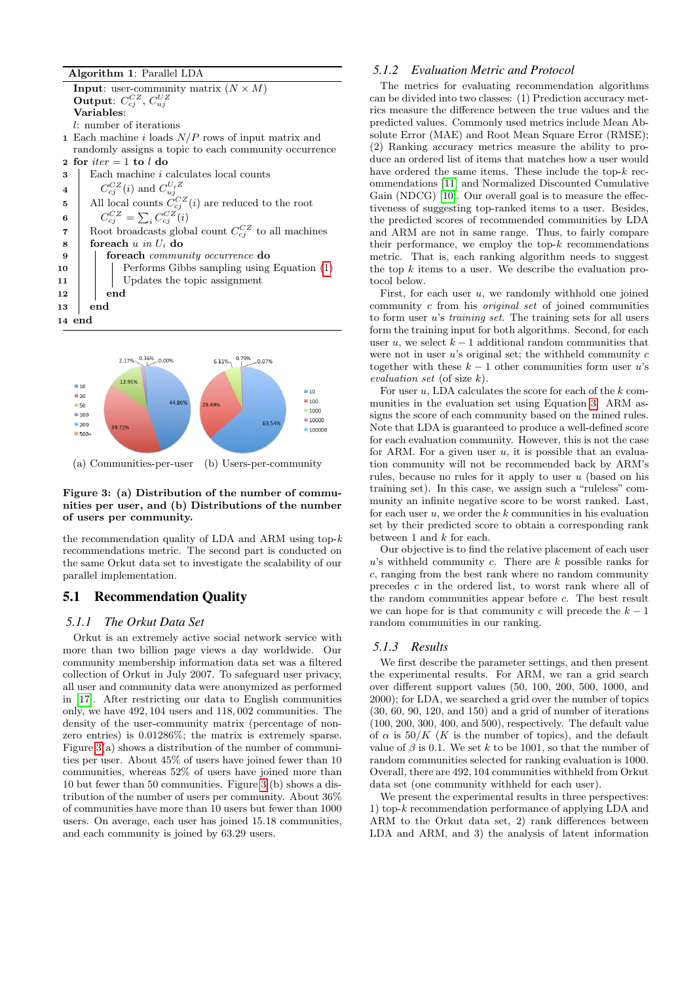Algorithm 1: Parallel LDA

**Input:** user-community matrix  $(N \times M)$ Output:  $C^{CZ}_{cj}$ ,  $C^{UZ}_{uj}$ Variables: l: number of iterations 1 Each machine i loads  $N/P$  rows of input matrix and randomly assigns a topic to each community occurrence 2 for  $iter = 1$  to l do 3 Each machine i calculates local counts 4  $C_{cj}^{CZ}(i)$  and  $C_{uj}^{U_i Z}$ 5 All local counts  $C_{cj}^{CZ}(i)$  are reduced to the root 6  $C_{cj}^{CZ} = \sum_i C_{cj}^{CZ}(i)$ 7 Root broadcasts global count  $C_{cj}^{CZ}$  to all machines 8 foreach  $u$  in  $U_i$  do 9 foreach community occurrence do 10 | | Performs Gibbs sampling using Equation [\(1\)](#page-2-5) 11 Updates the topic assignment  $12$  end 13 end 14 end



#### Figure 3: (a) Distribution of the number of communities per user, and (b) Distributions of the number of users per community.

the recommendation quality of LDA and ARM using top- $k$ recommendations metric. The second part is conducted on the same Orkut data set to investigate the scalability of our parallel implementation.

# <span id="page-4-1"></span>5.1 Recommendation Quality

### *5.1.1 The Orkut Data Set*

Orkut is an extremely active social network service with more than two billion page views a day worldwide. Our community membership information data set was a filtered collection of Orkut in July 2007. To safeguard user privacy, all user and community data were anonymized as performed in [\[17\]](#page-9-18). After restricting our data to English communities only, we have 492, 104 users and 118, 002 communities. The density of the user-community matrix (percentage of nonzero entries) is 0.01286%; the matrix is extremely sparse. Figure [3\(](#page-4-0)a) shows a distribution of the number of communities per user. About 45% of users have joined fewer than 10 communities, whereas 52% of users have joined more than 10 but fewer than 50 communities. Figure [3](#page-4-0) (b) shows a distribution of the number of users per community. About 36% of communities have more than 10 users but fewer than 1000 users. On average, each user has joined 15.18 communities, and each community is joined by 63.29 users.

#### *5.1.2 Evaluation Metric and Protocol*

The metrics for evaluating recommendation algorithms can be divided into two classes: (1) Prediction accuracy metrics measure the difference between the true values and the predicted values. Commonly used metrics include Mean Absolute Error (MAE) and Root Mean Square Error (RMSE); (2) Ranking accuracy metrics measure the ability to produce an ordered list of items that matches how a user would have ordered the same items. These include the top- $k$  recommendations [\[11\]](#page-9-19) and Normalized Discounted Cumulative Gain (NDCG) [\[10\]](#page-9-20). Our overall goal is to measure the effectiveness of suggesting top-ranked items to a user. Besides, the predicted scores of recommended communities by LDA and ARM are not in same range. Thus, to fairly compare their performance, we employ the top- $k$  recommendations metric. That is, each ranking algorithm needs to suggest the top  $k$  items to a user. We describe the evaluation protocol below.

First, for each user  $u$ , we randomly withhold one joined community c from his original set of joined communities to form user u's training set. The training sets for all users form the training input for both algorithms. Second, for each user u, we select  $k-1$  additional random communities that were not in user  $u$ 's original set; the withheld community  $c$ together with these  $k - 1$  other communities form user u's evaluation set (of size  $k$ ).

<span id="page-4-0"></span>For user  $u$ , LDA calculates the score for each of the  $k$  communities in the evaluation set using Equation [3.](#page-3-5) ARM assigns the score of each community based on the mined rules. Note that LDA is guaranteed to produce a well-defined score for each evaluation community. However, this is not the case for ARM. For a given user  $u$ , it is possible that an evaluation community will not be recommended back by ARM's rules, because no rules for it apply to user  $u$  (based on his training set). In this case, we assign such a "ruleless" community an infinite negative score to be worst ranked. Last, for each user  $u$ , we order the  $k$  communities in his evaluation set by their predicted score to obtain a corresponding rank between 1 and k for each.

Our objective is to find the relative placement of each user  $u$ 's withheld community c. There are k possible ranks for c, ranging from the best rank where no random community precedes c in the ordered list, to worst rank where all of the random communities appear before  $c$ . The best result we can hope for is that community c will precede the  $k-1$ random communities in our ranking.

# *5.1.3 Results*

We first describe the parameter settings, and then present the experimental results. For ARM, we ran a grid search over different support values (50, 100, 200, 500, 1000, and 2000); for LDA, we searched a grid over the number of topics  $(30, 60, 90, 120, \text{ and } 150)$  and a grid of number of iterations (100, 200, 300, 400, and 500), respectively. The default value of  $\alpha$  is  $50/K$  (K is the number of topics), and the default value of  $\beta$  is 0.1. We set k to be 1001, so that the number of random communities selected for ranking evaluation is 1000. Overall, there are 492, 104 communities withheld from Orkut data set (one community withheld for each user).

We present the experimental results in three perspectives: 1) top-k recommendation performance of applying LDA and ARM to the Orkut data set, 2) rank differences between LDA and ARM, and 3) the analysis of latent information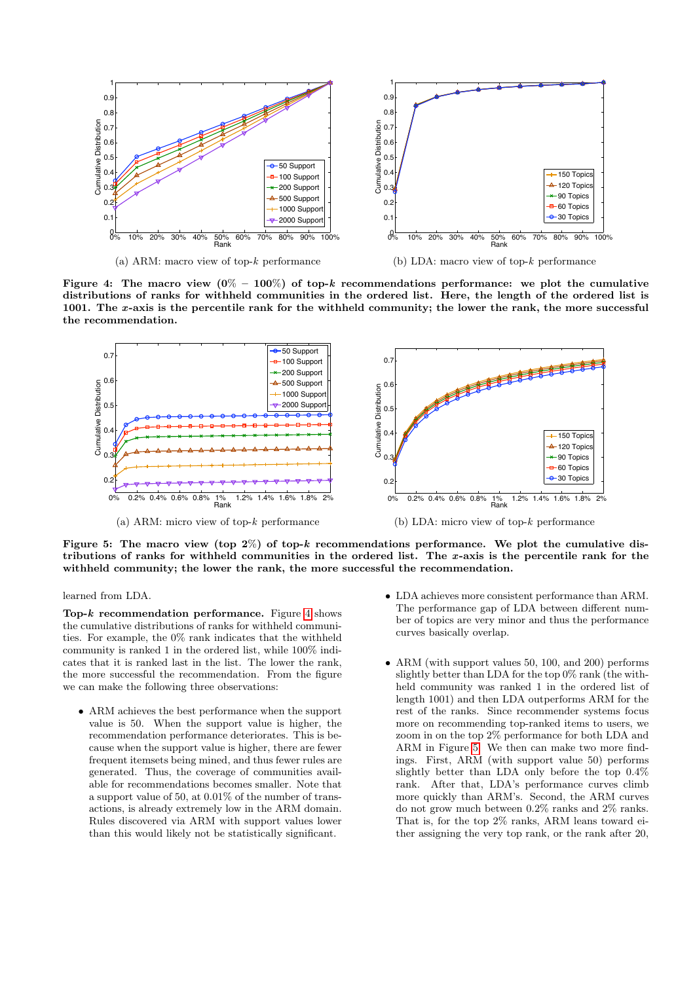

Figure 4: The macro view  $(0\% - 100\%)$  of top-k recommendations performance: we plot the cumulative distributions of ranks for withheld communities in the ordered list. Here, the length of the ordered list is 1001. The x-axis is the percentile rank for the withheld community; the lower the rank, the more successful the recommendation.



Figure 5: The macro view (top  $2\%$ ) of top-k recommendations performance. We plot the cumulative distributions of ranks for withheld communities in the ordered list. The  $x$ -axis is the percentile rank for the withheld community; the lower the rank, the more successful the recommendation.

learned from LDA.

Top- $k$  recommendation performance. Figure [4](#page-5-0) shows the cumulative distributions of ranks for withheld communities. For example, the 0% rank indicates that the withheld community is ranked 1 in the ordered list, while 100% indicates that it is ranked last in the list. The lower the rank, the more successful the recommendation. From the figure we can make the following three observations:

- ARM achieves the best performance when the support value is 50. When the support value is higher, the recommendation performance deteriorates. This is because when the support value is higher, there are fewer frequent itemsets being mined, and thus fewer rules are generated. Thus, the coverage of communities available for recommendations becomes smaller. Note that a support value of 50, at 0.01% of the number of transactions, is already extremely low in the ARM domain. Rules discovered via ARM with support values lower than this would likely not be statistically significant.
- <span id="page-5-1"></span><span id="page-5-0"></span>• LDA achieves more consistent performance than ARM. The performance gap of LDA between different number of topics are very minor and thus the performance curves basically overlap.
- ARM (with support values 50, 100, and 200) performs slightly better than LDA for the top 0% rank (the withheld community was ranked 1 in the ordered list of length 1001) and then LDA outperforms ARM for the rest of the ranks. Since recommender systems focus more on recommending top-ranked items to users, we zoom in on the top 2% performance for both LDA and ARM in Figure [5.](#page-5-1) We then can make two more findings. First, ARM (with support value 50) performs slightly better than LDA only before the top 0.4% rank. After that, LDA's performance curves climb more quickly than ARM's. Second, the ARM curves do not grow much between 0.2% ranks and 2% ranks. That is, for the top 2% ranks, ARM leans toward either assigning the very top rank, or the rank after 20,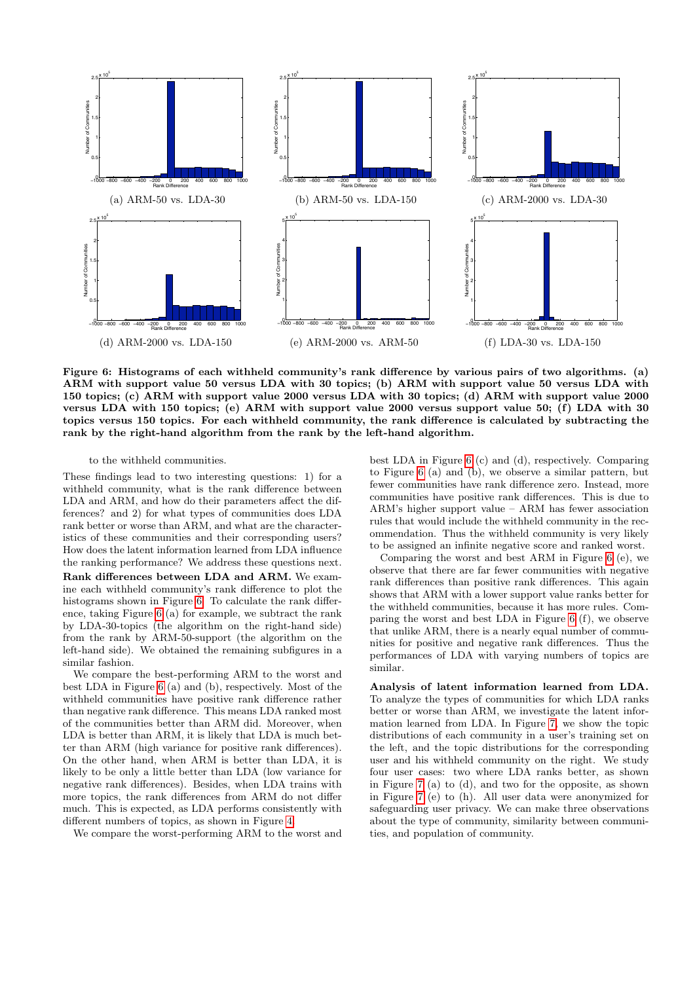

Figure 6: Histograms of each withheld community's rank difference by various pairs of two algorithms. (a) ARM with support value 50 versus LDA with 30 topics; (b) ARM with support value 50 versus LDA with 150 topics; (c) ARM with support value 2000 versus LDA with 30 topics; (d) ARM with support value 2000 versus LDA with 150 topics; (e) ARM with support value 2000 versus support value 50; (f) LDA with 30 topics versus 150 topics. For each withheld community, the rank difference is calculated by subtracting the rank by the right-hand algorithm from the rank by the left-hand algorithm.

#### to the withheld communities.

These findings lead to two interesting questions: 1) for a withheld community, what is the rank difference between LDA and ARM, and how do their parameters affect the differences? and 2) for what types of communities does LDA rank better or worse than ARM, and what are the characteristics of these communities and their corresponding users? How does the latent information learned from LDA influence the ranking performance? We address these questions next.

Rank differences between LDA and ARM. We examine each withheld community's rank difference to plot the histograms shown in Figure [6.](#page-6-0) To calculate the rank difference, taking Figure [6](#page-6-0) (a) for example, we subtract the rank by LDA-30-topics (the algorithm on the right-hand side) from the rank by ARM-50-support (the algorithm on the left-hand side). We obtained the remaining subfigures in a similar fashion.

We compare the best-performing ARM to the worst and best LDA in Figure [6](#page-6-0) (a) and (b), respectively. Most of the withheld communities have positive rank difference rather than negative rank difference. This means LDA ranked most of the communities better than ARM did. Moreover, when LDA is better than ARM, it is likely that LDA is much better than ARM (high variance for positive rank differences). On the other hand, when ARM is better than LDA, it is likely to be only a little better than LDA (low variance for negative rank differences). Besides, when LDA trains with more topics, the rank differences from ARM do not differ much. This is expected, as LDA performs consistently with different numbers of topics, as shown in Figure [4.](#page-5-0)

We compare the worst-performing ARM to the worst and

<span id="page-6-0"></span>best LDA in Figure [6](#page-6-0) (c) and (d), respectively. Comparing to Figure [6](#page-6-0) (a) and (b), we observe a similar pattern, but fewer communities have rank difference zero. Instead, more communities have positive rank differences. This is due to ARM's higher support value – ARM has fewer association rules that would include the withheld community in the recommendation. Thus the withheld community is very likely to be assigned an infinite negative score and ranked worst.

Comparing the worst and best ARM in Figure [6](#page-6-0) (e), we observe that there are far fewer communities with negative rank differences than positive rank differences. This again shows that ARM with a lower support value ranks better for the withheld communities, because it has more rules. Comparing the worst and best LDA in Figure [6](#page-6-0) (f), we observe that unlike ARM, there is a nearly equal number of communities for positive and negative rank differences. Thus the performances of LDA with varying numbers of topics are similar.

Analysis of latent information learned from LDA. To analyze the types of communities for which LDA ranks better or worse than ARM, we investigate the latent information learned from LDA. In Figure [7,](#page-8-0) we show the topic distributions of each community in a user's training set on the left, and the topic distributions for the corresponding user and his withheld community on the right. We study four user cases: two where LDA ranks better, as shown in Figure [7](#page-8-0) (a) to (d), and two for the opposite, as shown in Figure [7](#page-8-0) (e) to (h). All user data were anonymized for safeguarding user privacy. We can make three observations about the type of community, similarity between communities, and population of community.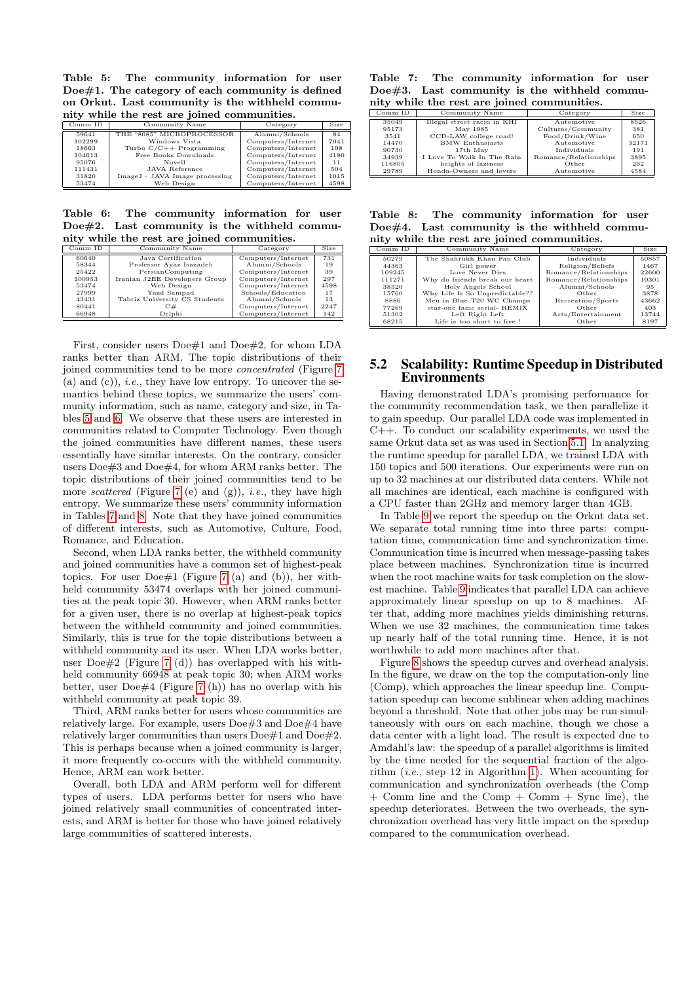<span id="page-7-0"></span>Table 5: The community information for user Doe#1. The category of each community is defined on Orkut. Last community is the withheld community while the rest are joined communities.

| Comm ID | Community Name                 | Category           | Size |
|---------|--------------------------------|--------------------|------|
| 59641   | THE "8085" MICROPROCESSOR      | Alumni/Schools     | 84   |
| 102299  | Windows Vista                  | Computers/Internet | 7041 |
| 18663   | Turbo $C/C++Propramming$       | Computers/Internet | 198  |
| 104613  | Free Books Downloads           | Computers/Internet | 4190 |
| 95076   | Novell                         | Computers/Internet | 11   |
| 111431  | <b>JAVA</b> Reference          | Computers/Internet | 504  |
| 31820   | ImageJ - JAVA Image processing | Computers/Internet | 1015 |
| 53474   | Web Design                     | Computers/Internet | 4598 |

<span id="page-7-1"></span>Table 6: The community information for user Doe#2. Last community is the withheld community while the rest are joined communities.

| Comm ID | Community Name                | Category           | Size |
|---------|-------------------------------|--------------------|------|
| 60640   | Java Certification            | Computers/Internet | 731  |
| 58344   | Professor Ayaz Isazadeh       | Alumni/Schools     | 19   |
| 25422   | PersianComputing              | Computers/Internet | 39   |
| 100953  | Iranian J2EE Developers Group | Computers/Internet | 297  |
| 53474   | Web Design                    | Computers/Internet | 4598 |
| 27999   | Yazd Sampad                   | Schools/Education  | 17   |
| 43431   | Tabriz University CS Students | Alumni/Schools     | 13   |
| 80441   | C#                            | Computers/Internet | 2247 |
| 66948   | Delphi                        | Computers/Internet | 142  |
|         |                               |                    |      |

First, consider users Doe#1 and Doe#2, for whom LDA ranks better than ARM. The topic distributions of their joined communities tend to be more concentrated (Figure [7](#page-8-0) (a) and (c)), *i.e.*, they have low entropy. To uncover the semantics behind these topics, we summarize the users' community information, such as name, category and size, in Tables [5](#page-7-0) and [6.](#page-7-1) We observe that these users are interested in communities related to Computer Technology. Even though the joined communities have different names, these users essentially have similar interests. On the contrary, consider users Doe#3 and Doe#4, for whom ARM ranks better. The topic distributions of their joined communities tend to be more scattered (Figure [7](#page-8-0) (e) and (g)), *i.e.*, they have high entropy. We summarize these users' community information in Tables [7](#page-7-2) and [8.](#page-7-3) Note that they have joined communities of different interests, such as Automotive, Culture, Food, Romance, and Education.

Second, when LDA ranks better, the withheld community and joined communities have a common set of highest-peak topics. For user Doe $#1$  (Figure [7](#page-8-0) (a) and (b)), her withheld community 53474 overlaps with her joined communities at the peak topic 30. However, when ARM ranks better for a given user, there is no overlap at highest-peak topics between the withheld community and joined communities. Similarly, this is true for the topic distributions between a withheld community and its user. When LDA works better, user Doe $#2$  (Figure [7](#page-8-0) (d)) has overlapped with his withheld community 66948 at peak topic 30; when ARM works better, user Doe#4 (Figure [7](#page-8-0) (h)) has no overlap with his withheld community at peak topic 39.

Third, ARM ranks better for users whose communities are relatively large. For example, users Doe#3 and Doe#4 have relatively larger communities than users  $\text{Doe}\#1$  and  $\text{Doe}\#2$ . This is perhaps because when a joined community is larger, it more frequently co-occurs with the withheld community. Hence, ARM can work better.

Overall, both LDA and ARM perform well for different types of users. LDA performs better for users who have joined relatively small communities of concentrated interests, and ARM is better for those who have joined relatively large communities of scattered interests.

<span id="page-7-2"></span>Table 7: The community information for user Doe#3. Last community is the withheld community while the rest are joined communities.

| CommID | Community Name              | Category              | Size  |
|--------|-----------------------------|-----------------------|-------|
| 35049  | Illegal street racin in KHI | Automotive            | 8526  |
| 95173  | May 1985                    | Cultures/Community    | 381   |
| 3541   | CCD-LAW college road!       | Food/Drink/Wine       | 650   |
| 14470  | <b>BMW</b> Enthusiasts      | Automotive            | 32171 |
| 90730  | 17th May                    | Individuals           | 191   |
| 34939  | I Love To Walk In The Rain  | Romance/Relationships | 3895  |
| 116805 | heights of laziness         | Other                 | 232   |
| 29789  | Honda-Owners and lovers     | Automotive            | 4584  |

<span id="page-7-3"></span>Table 8: The community information for user Doe#4. Last community is the withheld community while the rest are joined communities.

| Comm ID | Community Name                 | Category              | Size  |
|---------|--------------------------------|-----------------------|-------|
| 50279   | The Shahrukh Khan Fan Club     | Individuals           | 50857 |
| 44363   | Girl power                     | Religion/Beliefs      | 1467  |
| 109245  | Love Never Dies                | Romance/Relationships | 22600 |
| 111271  | Why do friendz break our heart | Romance/Relationships | 10301 |
| 38320   | Holy Angels School             | Alumni/Schools        | 95    |
| 15760   | Why Life Is So Unpredictable?? | Other                 | 3878  |
| 8886    | Men in Blue T20 WC Champs      | Recreation/Sports     | 43662 |
| 77269   | star-one fame serial- REMIX    | Other                 | 403   |
| 51302   | Left Right Left                | Arts/Entertainment    | 13744 |
| 68215   | Life is too short to live!     | Other                 | 8197  |

# 5.2 Scalability: Runtime Speedup in Distributed Environments

Having demonstrated LDA's promising performance for the community recommendation task, we then parallelize it to gain speedup. Our parallel LDA code was implemented in C++. To conduct our scalability experiments, we used the same Orkut data set as was used in Section [5.1.](#page-4-1) In analyzing the runtime speedup for parallel LDA, we trained LDA with 150 topics and 500 iterations. Our experiments were run on up to 32 machines at our distributed data centers. While not all machines are identical, each machine is configured with a CPU faster than 2GHz and memory larger than 4GB.

In Table [9](#page-9-21) we report the speedup on the Orkut data set. We separate total running time into three parts: computation time, communication time and synchronization time. Communication time is incurred when message-passing takes place between machines. Synchronization time is incurred when the root machine waits for task completion on the slowest machine. Table [9](#page-9-21) indicates that parallel LDA can achieve approximately linear speedup on up to 8 machines. After that, adding more machines yields diminishing returns. When we use 32 machines, the communication time takes up nearly half of the total running time. Hence, it is not worthwhile to add more machines after that.

Figure [8](#page-9-22) shows the speedup curves and overhead analysis. In the figure, we draw on the top the computation-only line (Comp), which approaches the linear speedup line. Computation speedup can become sublinear when adding machines beyond a threshold. Note that other jobs may be run simultaneously with ours on each machine, though we chose a data center with a light load. The result is expected due to Amdahl's law: the speedup of a parallel algorithms is limited by the time needed for the sequential fraction of the algorithm  $(i.e., step 12 in Algorithm 1)$  $(i.e., step 12 in Algorithm 1)$ . When accounting for communication and synchronization overheads (the Comp + Comm line and the Comp + Comm + Sync line), the speedup deteriorates. Between the two overheads, the synchronization overhead has very little impact on the speedup compared to the communication overhead.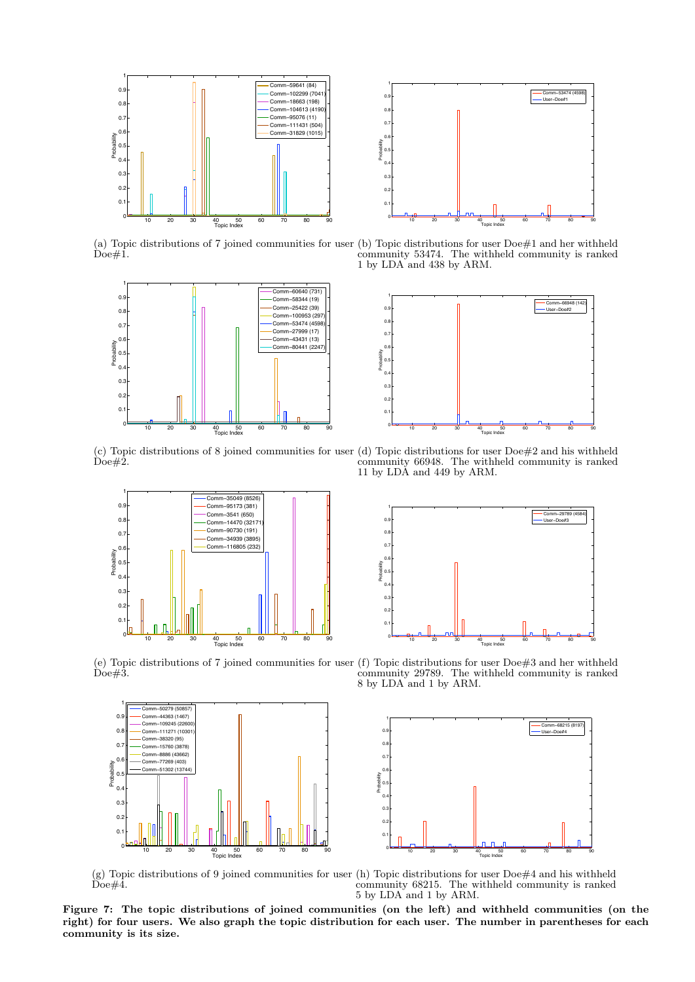

(a) Topic distributions of 7 joined communities for user (b) Topic distributions for user Doe#1 and her withheld  $\overline{\text{Doe}}\#1$ . community 53474. The withheld community is ranked 1 by LDA and 438 by ARM.





(c) Topic distributions of 8 joined communities for user (d) Topic distributions for user Doe#2 and his withheld  $\angle$ Doe#2. community 66948. The withheld community is ranked 11 by LDA and 449 by ARM.



10 20 30 40 50 60 70 80 90  $\mathsf{C}$ 0.1  $\overline{0}$ 0.3 0.4 0.5 0.6 0.7 0.8 0.9 1 Probability Comm−29789 (4584) User−Doe#3

(e) Topic distributions of 7 joined communities for user (f) Topic distributions for user Doe#3 and her withheld  $\angle$ Doe $\#3$ .



0.1 0.2 0.3 0.4 0.5 0.6 0.7 0.8 0.9 1 Probability Comm−68215 (8197) User−Doe#4

10 20 30 40 50 60 70 80 90

<span id="page-8-0"></span>Topic Index

(g) Topic distributions of 9 joined communities for user Doe#4. (h) Topic distributions for user Doe#4 and his withheld community 68215. The withheld community is ranked 5 by LDA and 1 by ARM.

0

Figure 7: The topic distributions of joined communities (on the left) and withheld communities (on the right) for four users. We also graph the topic distribution for each user. The number in parentheses for each community is its size.

u<br>Topic Ir

community 29789. The withheld community is ranked 8 by LDA and 1 by ARM.